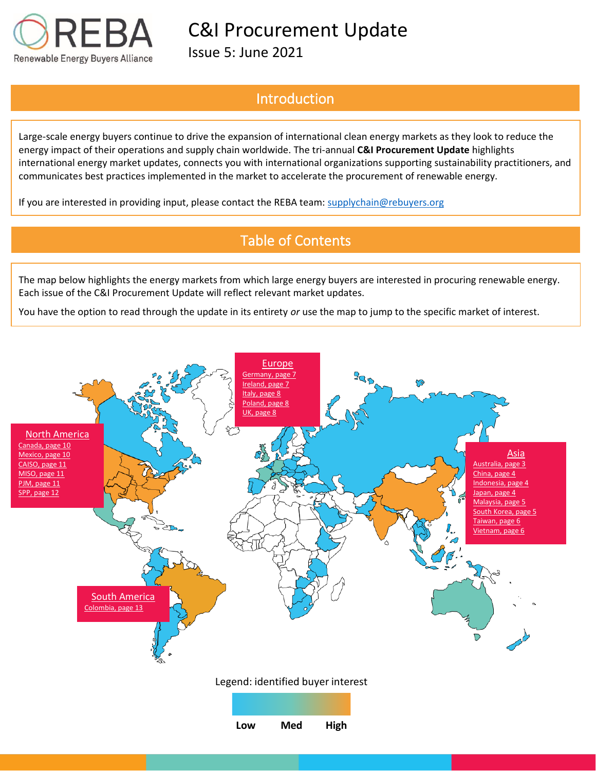

Issue 5: June 2021

## Introduction

Large-scale energy buyers continue to drive the expansion of international clean energy markets as they look to reduce the energy impact of their operations and supply chain worldwide. The tri-annual **C&I Procurement Update** highlights international energy market updates, connects you with international organizations supporting sustainability practitioners, and communicates best practices implemented in the market to accelerate the procurement of renewable energy.

If you are interested in providing input, please contact the REBA team[: supplychain@rebuyers.org](mailto:supplychain@rebuyers.org)

## Table of Contents

The map below highlights the energy markets from which large energy buyers are interested in procuring renewable energy. Each issue of the C&I Procurement Update will reflect relevant market updates.

You have the option to read through the update in its entirety *or* use the map to jump to the specific market of interest.

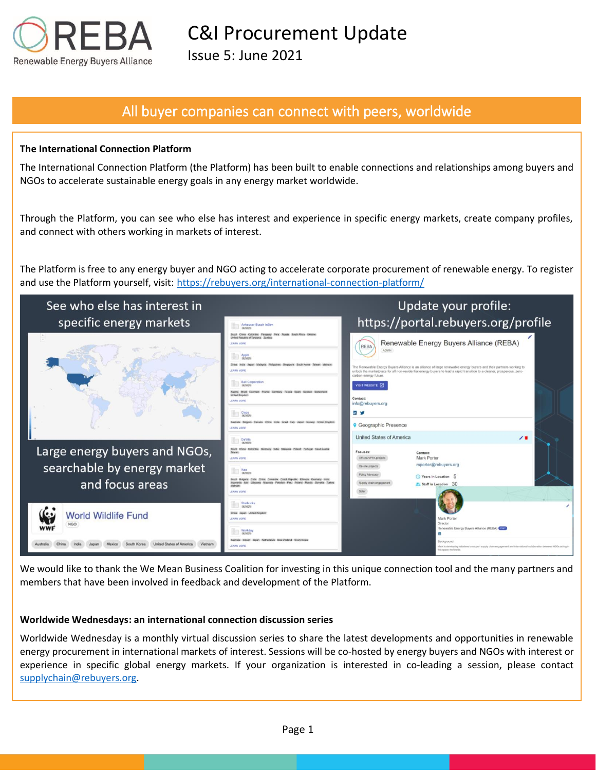

Issue 5: June 2021

## All buyer companies can connect with peers, worldwide

### **The International Connection Platform**

The International Connection Platform (the Platform) has been built to enable connections and relationships among buyers and NGOs to accelerate sustainable energy goals in any energy market worldwide.

Through the Platform, you can see who else has interest and experience in specific energy markets, create company profiles, and connect with others working in markets of interest.

The Platform is free to any energy buyer and NGO acting to accelerate corporate procurement of renewable energy. To register and use the Platform yourself, visit: https://rebuyers.org/international-connection-platform/



We would like to thank the We Mean Business Coalition for investing in this unique connection tool and the many partners and members that have been involved in feedback and development of the Platform.

#### **Worldwide Wednesdays: an international connection discussion series**

Worldwide Wednesday is a monthly virtual discussion series to share the latest developments and opportunities in renewable energy procurement in international markets of interest. Sessions will be co-hosted by energy buyers and NGOs with interest or experience in specific global energy markets. If your organization is interested in co-leading a session, please contact [supplychain@rebuyers.org.](mailto:supplychain@rebuyers.org)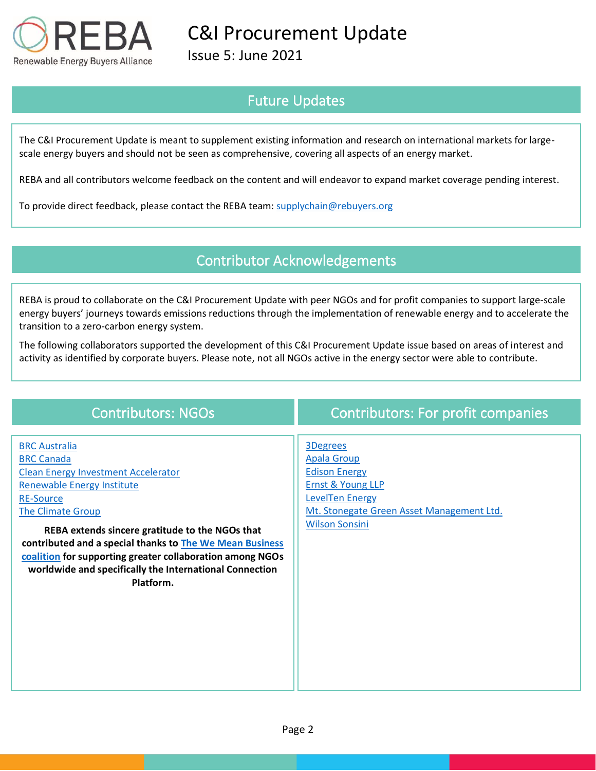

Issue 5: June 2021

## Future Updates

The C&I Procurement Update is meant to supplement existing information and research on international markets for largescale energy buyers and should not be seen as comprehensive, covering all aspects of an energy market.

REBA and all contributors welcome feedback on the content and will endeavor to expand market coverage pending interest.

To provide direct feedback, please contact the REBA team: [supplychain@rebuyers.org](mailto:supplychain@rebuyers.org)

## Contributor Acknowledgements

REBA is proud to collaborate on the C&I Procurement Update with peer NGOs and for profit companies to support large-scale energy buyers' journeys towards emissions reductions through the implementation of renewable energy and to accelerate the transition to a zero-carbon energy system.

The following collaborators supported the development of this C&I Procurement Update issue based on areas of interest and activity as identified by corporate buyers. Please note, not all NGOs active in the energy sector were able to contribute.

| <b>Contributors: NGOs</b>                                                                                                                                                                                                                                                                                                                                                                                                 | <b>Contributors: For profit companies</b>                                                                                                                                              |
|---------------------------------------------------------------------------------------------------------------------------------------------------------------------------------------------------------------------------------------------------------------------------------------------------------------------------------------------------------------------------------------------------------------------------|----------------------------------------------------------------------------------------------------------------------------------------------------------------------------------------|
| <b>BRC Australia</b><br><b>BRC Canada</b><br><b>Clean Energy Investment Accelerator</b><br><b>Renewable Energy Institute</b><br><b>RE-Source</b><br>The Climate Group<br>REBA extends sincere gratitude to the NGOs that<br>contributed and a special thanks to The We Mean Business<br>coalition for supporting greater collaboration among NGOs<br>worldwide and specifically the International Connection<br>Platform. | <b>3Degrees</b><br><b>Apala Group</b><br><b>Edison Energy</b><br><b>Ernst &amp; Young LLP</b><br>LevelTen Energy<br>Mt. Stonegate Green Asset Management Ltd.<br><b>Wilson Sonsini</b> |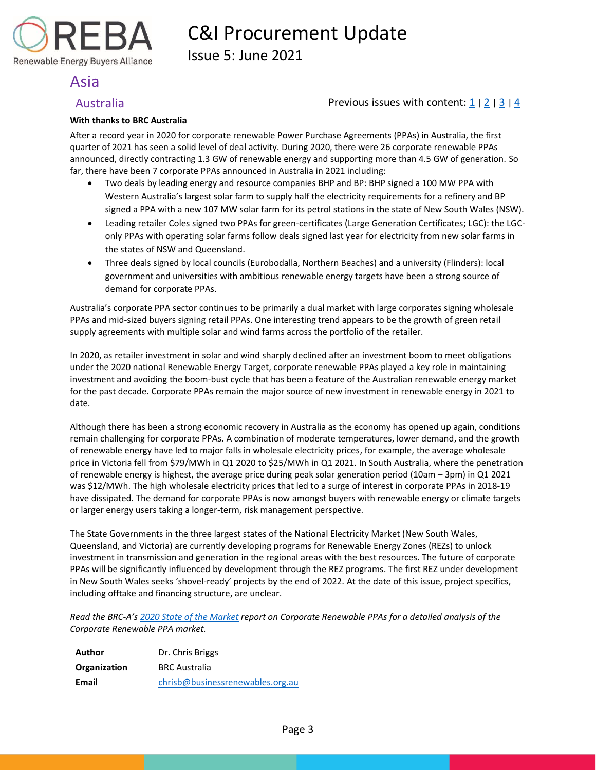

Issue 5: June 2021

## <span id="page-3-0"></span>Asia

Renewable Energy Buyers Alliance

### <span id="page-3-1"></span>Australia **Previous issues with content:**  $\frac{1}{2}$  $\frac{1}{2}$  $\frac{1}{2}$  |  $\frac{2}{3}$  $\frac{2}{3}$  $\frac{2}{3}$  |  $\frac{4}{4}$  $\frac{4}{4}$  $\frac{4}{4}$

### **With thanks to BRC Australia**

After a record year in 2020 for corporate renewable Power Purchase Agreements (PPAs) in Australia, the first quarter of 2021 has seen a solid level of deal activity. During 2020, there were 26 corporate renewable PPAs announced, directly contracting 1.3 GW of renewable energy and supporting more than 4.5 GW of generation. So far, there have been 7 corporate PPAs announced in Australia in 2021 including:

- Two deals by leading energy and resource companies BHP and BP: BHP signed a 100 MW PPA with Western Australia's largest solar farm to supply half the electricity requirements for a refinery and BP signed a PPA with a new 107 MW solar farm for its petrol stations in the state of New South Wales (NSW).
- Leading retailer Coles signed two PPAs for green-certificates (Large Generation Certificates; LGC): the LGConly PPAs with operating solar farms follow deals signed last year for electricity from new solar farms in the states of NSW and Queensland.
- Three deals signed by local councils (Eurobodalla, Northern Beaches) and a university (Flinders): local government and universities with ambitious renewable energy targets have been a strong source of demand for corporate PPAs.

Australia's corporate PPA sector continues to be primarily a dual market with large corporates signing wholesale PPAs and mid-sized buyers signing retail PPAs. One interesting trend appears to be the growth of green retail supply agreements with multiple solar and wind farms across the portfolio of the retailer.

In 2020, as retailer investment in solar and wind sharply declined after an investment boom to meet obligations under the 2020 national Renewable Energy Target, corporate renewable PPAs played a key role in maintaining investment and avoiding the boom-bust cycle that has been a feature of the Australian renewable energy market for the past decade. Corporate PPAs remain the major source of new investment in renewable energy in 2021 to date.

Although there has been a strong economic recovery in Australia as the economy has opened up again, conditions remain challenging for corporate PPAs. A combination of moderate temperatures, lower demand, and the growth of renewable energy have led to major falls in wholesale electricity prices, for example, the average wholesale price in Victoria fell from \$79/MWh in Q1 2020 to \$25/MWh in Q1 2021. In South Australia, where the penetration of renewable energy is highest, the average price during peak solar generation period (10am – 3pm) in Q1 2021 was \$12/MWh. The high wholesale electricity prices that led to a surge of interest in corporate PPAs in 2018-19 have dissipated. The demand for corporate PPAs is now amongst buyers with renewable energy or climate targets or larger energy users taking a longer-term, risk management perspective.

The State Governments in the three largest states of the National Electricity Market (New South Wales, Queensland, and Victoria) are currently developing programs for Renewable Energy Zones (REZs) to unlock investment in transmission and generation in the regional areas with the best resources. The future of corporate PPAs will be significantly influenced by development through the REZ programs. The first REZ under development in New South Wales seeks 'shovel-ready' projects by the end of 2022. At the date of this issue, project specifics, including offtake and financing structure, are unclear.

*Read the BRC-A's [2020 State of the Market](https://businessrenewables.org.au/state-of-the-market-report-2020/) report on Corporate Renewable PPAs for a detailed analysis of the Corporate Renewable PPA market.*

| Author       | Dr. Chris Briggs                 |
|--------------|----------------------------------|
| Organization | <b>BRC Australia</b>             |
| Email        | chrisb@businessrenewables.org.au |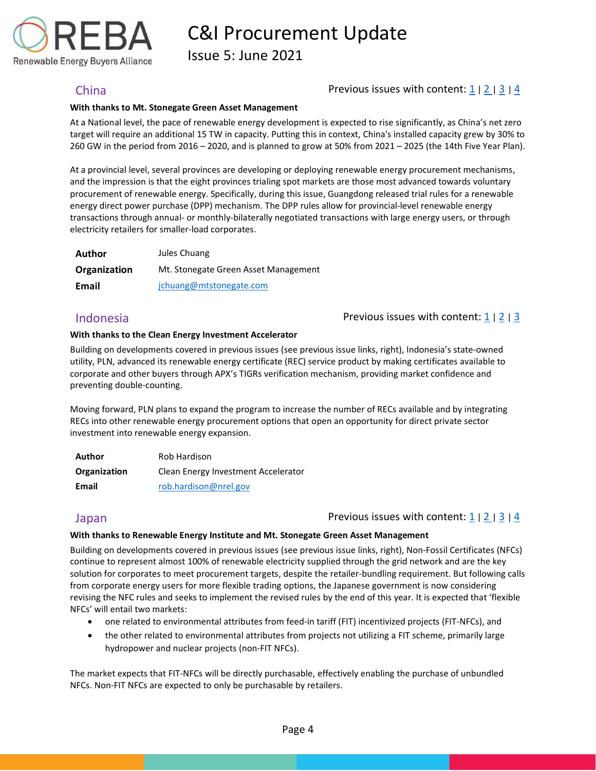Issue 5: June 2021

Renewable Energy Buyers Alliance

### <span id="page-4-0"></span>China Previous issues with content[: 1](https://reba2019dev.wpengine.com/wp-content/uploads/2020/02/REBA-CI-Procurement-Update_Feb-2020-1.pdf) <sup>|</sup>[2](https://rebuyers.org/wp-content/uploads/2020/07/C_I_Procurement_Update_Issue_2.pdf) <sup>|</sup>[3](https://documentcloud.adobe.com/link/track?uri=urn:aaid:scds:US:6601ed7a-4da4-4e40-8b34-921171ec412a#pageNum=1) <sup>|</sup>[4](https://rebuyers.org/wp-content/uploads/2021/03/REBA_C_I_Procurement_Update_02_21.pdf)

#### **With thanks to Mt. Stonegate Green Asset Management**

At a National level, the pace of renewable energy development is expected to rise significantly, as China's net zero target will require an additional 15 TW in capacity. Putting this in context, China's installed capacity grew by 30% to 260 GW in the period from 2016 – 2020, and is planned to grow at 50% from 2021 – 2025 (the 14th Five Year Plan).

At a provincial level, several provinces are developing or deploying renewable energy procurement mechanisms, and the impression is that the eight provinces trialing spot markets are those most advanced towards voluntary procurement of renewable energy. Specifically, during this issue, Guangdong released trial rules for a renewable energy direct power purchase (DPP) mechanism. The DPP rules allow for provincial-level renewable energy transactions through annual- or monthly-bilaterally negotiated transactions with large energy users, or through electricity retailers for smaller-load corporates.

| <b>Author</b>       | Jules Chuang                         |
|---------------------|--------------------------------------|
| <b>Organization</b> | Mt. Stonegate Green Asset Management |
| Email               | jchuang@mtstonegate.com              |

<span id="page-4-1"></span>Indonesia Previous issues with content: [1](https://reba2019dev.wpengine.com/wp-content/uploads/2020/02/REBA-CI-Procurement-Update_Feb-2020-1.pdf) <sup>|</sup>[2](https://rebuyers.org/wp-content/uploads/2020/07/C_I_Procurement_Update_Issue_2.pdf) <sup>|</sup>[3](https://documentcloud.adobe.com/link/track?uri=urn:aaid:scds:US:6601ed7a-4da4-4e40-8b34-921171ec412a#pageNum=1)

#### **With thanks to the Clean Energy Investment Accelerator**

Building on developments covered in previous issues (see previous issue links, right), Indonesia's state-owned utility, PLN, advanced its renewable energy certificate (REC) service product by making certificates available to corporate and other buyers through APX's TIGRs verification mechanism, providing market confidence and preventing double-counting.

Moving forward, PLN plans to expand the program to increase the number of RECs available and by integrating RECs into other renewable energy procurement options that open an opportunity for direct private sector investment into renewable energy expansion.

| Author       | Rob Hardison                        |
|--------------|-------------------------------------|
| Organization | Clean Energy Investment Accelerator |
| Email        | rob.hardison@nrel.gov               |

### <span id="page-4-2"></span>Japan **Previous issues with content:**  $\frac{1}{2}$  $\frac{1}{2}$  $\frac{1}{2}$  |  $\frac{2}{3}$  $\frac{2}{3}$  $\frac{2}{3}$  |  $\frac{4}{4}$  $\frac{4}{4}$  $\frac{4}{4}$

#### **With thanks to Renewable Energy Institute and Mt. Stonegate Green Asset Management**

Building on developments covered in previous issues (see previous issue links, right), Non-Fossil Certificates (NFCs) continue to represent almost 100% of renewable electricity supplied through the grid network and are the key solution for corporates to meet procurement targets, despite the retailer-bundling requirement. But following calls from corporate energy users for more flexible trading options, the Japanese government is now considering revising the NFC rules and seeks to implement the revised rules by the end of this year. It is expected that 'flexible NFCs' will entail two markets:

- one related to environmental attributes from feed-in tariff (FIT) incentivized projects (FIT-NFCs), and
- the other related to environmental attributes from projects not utilizing a FIT scheme, primarily large hydropower and nuclear projects (non-FIT NFCs).

The market expects that FIT-NFCs will be directly purchasable, effectively enabling the purchase of unbundled NFCs. Non-FIT NFCs are expected to only be purchasable by retailers.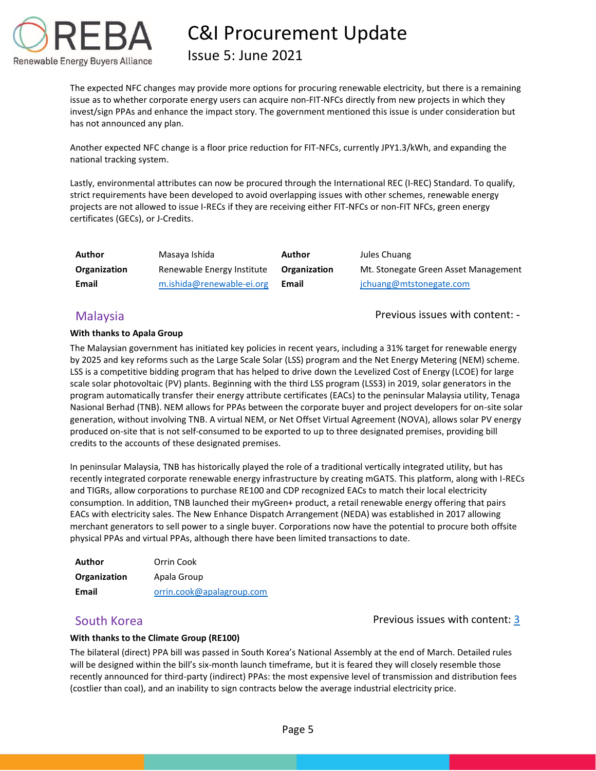

## Issue 5: June 2021

The expected NFC changes may provide more options for procuring renewable electricity, but there is a remaining issue as to whether corporate energy users can acquire non-FIT-NFCs directly from new projects in which they invest/sign PPAs and enhance the impact story. The government mentioned this issue is under consideration but has not announced any plan.

Another expected NFC change is a floor price reduction for FIT-NFCs, currently JPY1.3/kWh, and expanding the national tracking system.

Lastly, environmental attributes can now be procured through the International REC (I-REC) Standard. To qualify, strict requirements have been developed to avoid overlapping issues with other schemes, renewable energy projects are not allowed to issue I-RECs if they are receiving either FIT-NFCs or non-FIT NFCs, green energy certificates (GECs), or J-Credits.

| Author       | Masaya Ishida              | Author       | Jules Chuang                         |
|--------------|----------------------------|--------------|--------------------------------------|
| Organization | Renewable Energy Institute | Organization | Mt. Stonegate Green Asset Management |
| Email        | m.ishida@renewable-ei.org  | Email        | jchuang@mtstonegate.com              |

<span id="page-5-0"></span>Malaysia **Previous issues with content:** -

#### **With thanks to Apala Group**

The Malaysian government has initiated key policies in recent years, including a 31% target for renewable energy by 2025 and key reforms such as the Large Scale Solar (LSS) program and the Net Energy Metering (NEM) scheme. LSS is a competitive bidding program that has helped to drive down the Levelized Cost of Energy (LCOE) for large scale solar photovoltaic (PV) plants. Beginning with the third LSS program (LSS3) in 2019, solar generators in the program automatically transfer their energy attribute certificates (EACs) to the peninsular Malaysia utility, Tenaga Nasional Berhad (TNB). NEM allows for PPAs between the corporate buyer and project developers for on-site solar generation, without involving TNB. A virtual NEM, or Net Offset Virtual Agreement (NOVA), allows solar PV energy produced on-site that is not self-consumed to be exported to up to three designated premises, providing bill credits to the accounts of these designated premises.

In peninsular Malaysia, TNB has historically played the role of a traditional vertically integrated utility, but has recently integrated corporate renewable energy infrastructure by creating mGATS. This platform, along with I-RECs and TIGRs, allow corporations to purchase RE100 and CDP recognized EACs to match their local electricity consumption. In addition, TNB launched their myGreen+ product, a retail renewable energy offering that pairs EACs with electricity sales. The New Enhance Dispatch Arrangement (NEDA) was established in 2017 allowing merchant generators to sell power to a single buyer. Corporations now have the potential to procure both offsite physical PPAs and virtual PPAs, although there have been limited transactions to date.

| Author       | Orrin Cook                |
|--------------|---------------------------|
| Organization | Apala Group               |
| Email        | orrin.cook@apalagroup.com |

### <span id="page-5-1"></span>South Korea **Previous issues with content: [3](https://documentcloud.adobe.com/link/track?uri=urn:aaid:scds:US:6601ed7a-4da4-4e40-8b34-921171ec412a#pageNum=1)** Previous issues with content: 3

### **With thanks to the Climate Group (RE100)**

The bilateral (direct) PPA bill was passed in South Korea's National Assembly at the end of March. Detailed rules will be designed within the bill's six-month launch timeframe, but it is feared they will closely resemble those recently announced for third-party (indirect) PPAs: the most expensive level of transmission and distribution fees (costlier than coal), and an inability to sign contracts below the average industrial electricity price.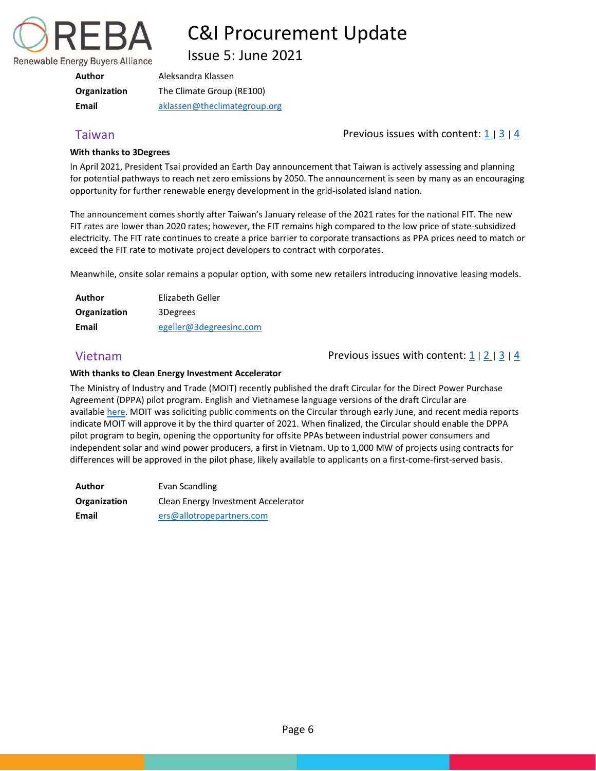

Issue 5: June 2021

| Author       | Aleksandra Klassen           |
|--------------|------------------------------|
| Organization | The Climate Group (RE100)    |
| Email        | aklassen@theclimategroup.org |

### <span id="page-6-0"></span>Taiwan **Previous issues with content:** 1 | [3](https://documentcloud.adobe.com/link/track?uri=urn:aaid:scds:US:6601ed7a-4da4-4e40-8b34-921171ec412a#pageNum=1) | [4](https://rebuyers.org/wp-content/uploads/2021/03/REBA_C_I_Procurement_Update_02_21.pdf)

#### **With thanks to 3Degrees**

In April 2021, President Tsai provided an Earth Day announcement that Taiwan is actively assessing and planning for potential pathways to reach net zero emissions by 2050. The announcement is seen by many as an encouraging opportunity for further renewable energy development in the grid-isolated island nation.

The announcement comes shortly after Taiwan's January release of the 2021 rates for the national FIT. The new FIT rates are lower than 2020 rates; however, the FIT remains high compared to the low price of state-subsidized electricity. The FIT rate continues to create a price barrier to corporate transactions as PPA prices need to match or exceed the FIT rate to motivate project developers to contract with corporates.

Meanwhile, onsite solar remains a popular option, with some new retailers introducing innovative leasing models.

| Author       | Elizabeth Geller        |
|--------------|-------------------------|
| Organization | 3Degrees                |
| Email        | egeller@3degreesinc.com |

### <span id="page-6-2"></span>Vietnam **Previous issues with content:**  $\frac{1}{2}$  $\frac{1}{2}$  $\frac{1}{2}$  |  $\frac{2}{3}$  $\frac{2}{3}$  $\frac{2}{3}$  |  $\frac{4}{4}$  $\frac{4}{4}$  $\frac{4}{4}$

#### **With thanks to Clean Energy Investment Accelerator**

The Ministry of Industry and Trade (MOIT) recently published the draft Circular for the Direct Power Purchase Agreement (DPPA) pilot program. English and Vietnamese language versions of the draft Circular are available [here.](https://nam10.safelinks.protection.outlook.com/?url=https%3A%2F%2Fdrive.google.com%2Fdrive%2Fu%2F1%2Ffolders%2F12TmC-XNQbgceTPuygj42FMOwcNTp81z9&data=04%7C01%7Cpfeinberg%40rebuyers.org%7C2ade08fe52f1494bd2da08d90e82e0c3%7C85e98bb78ec64977a794ffb1ede0f3df%7C1%7C0%7C637556777558741830%7CUnknown%7CTWFpbGZsb3d8eyJWIjoiMC4wLjAwMDAiLCJQIjoiV2luMzIiLCJBTiI6Ik1haWwiLCJXVCI6Mn0%3D%7C1000&sdata=afeJWBl7ABkeSUwDrq1VEXr6Mm0Swz6mpHTryNRhX%2Bg%3D&reserved=0) MOIT was soliciting public comments on the Circular through early June, and recent media reports indicate MOIT will approve it by the third quarter of 2021. When finalized, the Circular should enable the DPPA pilot program to begin, opening the opportunity for offsite PPAs between industrial power consumers and independent solar and wind power producers, a first in Vietnam. Up to 1,000 MW of projects using contracts for differences will be approved in the pilot phase, likely available to applicants on a first-come-first-served basis.

<span id="page-6-1"></span>

| Author       | Evan Scandling                      |
|--------------|-------------------------------------|
| Organization | Clean Energy Investment Accelerator |
| Email        | ers@allotropepartners.com           |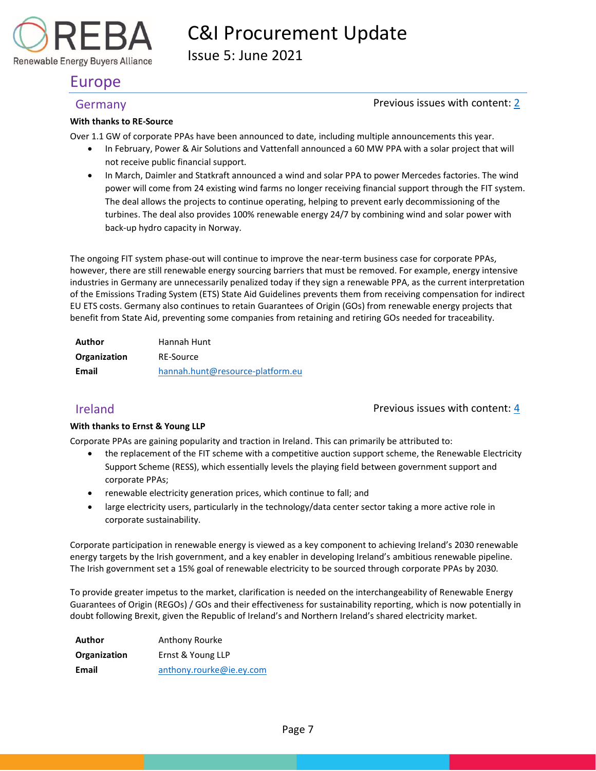

Issue 5: June 2021

## Europe

Renewable Energy Buyers Alliance

### <span id="page-7-0"></span>Germany Germany **Contenting the Content** of Previous issues with content: [2](https://rebuyers.org/wp-content/uploads/2020/07/C_I_Procurement_Update_Issue_2.pdf)

#### **With thanks to RE-Source**

Over 1.1 GW of corporate PPAs have been announced to date, including multiple announcements this year.

- In February, Power & Air Solutions and Vattenfall announced a 60 MW PPA with a solar project that will not receive public financial support.
- In March, Daimler and Statkraft announced a wind and solar PPA to power Mercedes factories. The wind power will come from 24 existing wind farms no longer receiving financial support through the FIT system. The deal allows the projects to continue operating, helping to prevent early decommissioning of the turbines. The deal also provides 100% renewable energy 24/7 by combining wind and solar power with back-up hydro capacity in Norway.

The ongoing FIT system phase-out will continue to improve the near-term business case for corporate PPAs, however, there are still renewable energy sourcing barriers that must be removed. For example, energy intensive industries in Germany are unnecessarily penalized today if they sign a renewable PPA, as the current interpretation of the Emissions Trading System (ETS) State Aid Guidelines prevents them from receiving compensation for indirect EU ETS costs. Germany also continues to retain Guarantees of Origin (GOs) from renewable energy projects that benefit from State Aid, preventing some companies from retaining and retiring GOs needed for traceability.

| <b>Author</b> | Hannah Hunt                      |
|---------------|----------------------------------|
| Organization  | <b>RE-Source</b>                 |
| Email         | hannah.hunt@resource-platform.eu |

<span id="page-7-1"></span>Ireland Previous issues with content: [4](https://rebuyers.org/wp-content/uploads/2021/03/REBA_C_I_Procurement_Update_02_21.pdf)

### **With thanks to Ernst & Young LLP**

Corporate PPAs are gaining popularity and traction in Ireland. This can primarily be attributed to:

- the replacement of the FIT scheme with a competitive auction support scheme, the Renewable Electricity Support Scheme (RESS), which essentially levels the playing field between government support and corporate PPAs;
- renewable electricity generation prices, which continue to fall; and
- large electricity users, particularly in the technology/data center sector taking a more active role in corporate sustainability.

Corporate participation in renewable energy is viewed as a key component to achieving Ireland's 2030 renewable energy targets by the Irish government, and a key enabler in developing Ireland's ambitious renewable pipeline. The Irish government set a 15% goal of renewable electricity to be sourced through corporate PPAs by 2030.

To provide greater impetus to the market, clarification is needed on the interchangeability of Renewable Energy Guarantees of Origin (REGOs) / GOs and their effectiveness for sustainability reporting, which is now potentially in doubt following Brexit, given the Republic of Ireland's and Northern Ireland's shared electricity market.

| Author       | Anthony Rourke           |
|--------------|--------------------------|
| Organization | Ernst & Young LLP        |
| Email        | anthony.rourke@ie.ey.com |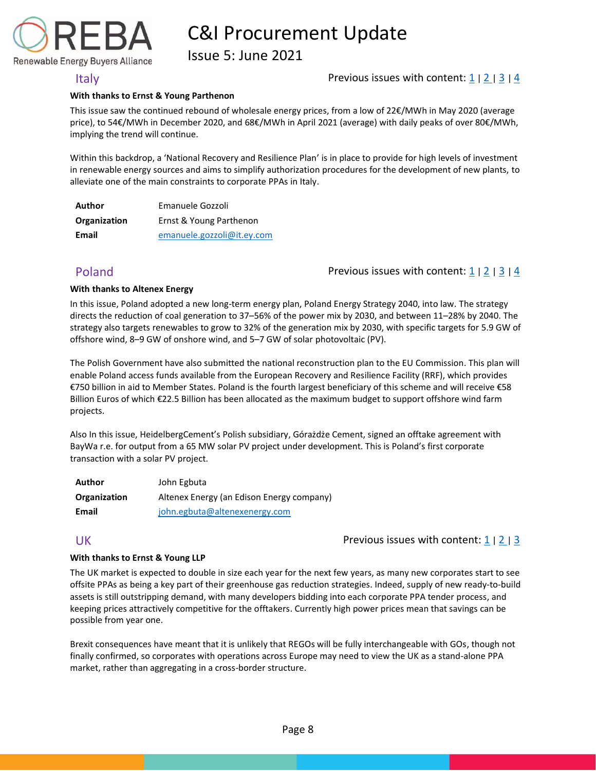Issue 5: June 2021

Renewable Energy Buyers Alliance

### <span id="page-8-0"></span>Italy  $\Box$  Previous issues with content:  $\Box$  |  $\Box$  |  $\Box$  |  $\Box$  |  $\Box$  |  $\Box$  |  $\Box$  |  $\Box$  |  $\Box$  |  $\Box$  |  $\Box$  |  $\Box$  |  $\Box$  |  $\Box$  |  $\Box$  |  $\Box$  |  $\Box$  |  $\Box$  |  $\Box$  |  $\Box$  |  $\Box$  |  $\Box$  |  $\Box$  |  $\Box$  |  $\Box$  |  $\Box$

#### **With thanks to Ernst & Young Parthenon**

This issue saw the continued rebound of wholesale energy prices, from a low of 22€/MWh in May 2020 (average price), to 54€/MWh in December 2020, and 68€/MWh in April 2021 (average) with daily peaks of over 80€/MWh, implying the trend will continue.

Within this backdrop, a 'National Recovery and Resilience Plan' is in place to provide for high levels of investment in renewable energy sources and aims to simplify authorization procedures for the development of new plants, to alleviate one of the main constraints to corporate PPAs in Italy.

| Author       | Emanuele Gozzoli           |
|--------------|----------------------------|
| Organization | Ernst & Young Parthenon    |
| Email        | emanuele.gozzoli@it.ey.com |

<span id="page-8-1"></span>Poland Poland Previous issues with content[: 1](https://reba2019dev.wpengine.com/wp-content/uploads/2020/02/REBA-CI-Procurement-Update_Feb-2020-1.pdf) | [2](https://rebuyers.org/wp-content/uploads/2020/07/C_I_Procurement_Update_Issue_2.pdf) | [3](https://documentcloud.adobe.com/link/track?uri=urn:aaid:scds:US:6601ed7a-4da4-4e40-8b34-921171ec412a#pageNum=1) | [4](https://rebuyers.org/wp-content/uploads/2021/03/REBA_C_I_Procurement_Update_02_21.pdf)

#### **With thanks to Altenex Energy**

In this issue, Poland adopted a new long-term energy plan, Poland Energy Strategy 2040, into law. The strategy directs the reduction of coal generation to 37–56% of the power mix by 2030, and between 11–28% by 2040. The strategy also targets renewables to grow to 32% of the generation mix by 2030, with specific targets for 5.9 GW of offshore wind, 8–9 GW of onshore wind, and 5–7 GW of solar photovoltaic (PV).

The Polish Government have also submitted the national reconstruction plan to the EU Commission. This plan will enable Poland access funds available from the European Recovery and Resilience Facility (RRF), which provides €750 billion in aid to Member States. Poland is the fourth largest beneficiary of this scheme and will receive €58 Billion Euros of which €22.5 Billion has been allocated as the maximum budget to support offshore wind farm projects.

Also In this issue, HeidelbergCement's Polish subsidiary, Górażdże Cement, signed an offtake agreement with BayWa r.e. for output from a 65 MW solar PV project under development. This is Poland's first corporate transaction with a solar PV project.

| Author       | John Egbuta                               |
|--------------|-------------------------------------------|
| Organization | Altenex Energy (an Edison Energy company) |
| Email        | john.egbuta@altenexenergy.com             |

### <span id="page-8-2"></span>UK Previous issues with content:  $\frac{1}{2}$  $\frac{1}{2}$  $\frac{1}{2}$  |  $\frac{3}{2}$  $\frac{3}{2}$  $\frac{3}{2}$

#### **With thanks to Ernst & Young LLP**

The UK market is expected to double in size each year for the next few years, as many new corporates start to see offsite PPAs as being a key part of their greenhouse gas reduction strategies. Indeed, supply of new ready-to-build assets is still outstripping demand, with many developers bidding into each corporate PPA tender process, and keeping prices attractively competitive for the offtakers. Currently high power prices mean that savings can be possible from year one.

Brexit consequences have meant that it is unlikely that REGOs will be fully interchangeable with GOs, though not finally confirmed, so corporates with operations across Europe may need to view the UK as a stand-alone PPA market, rather than aggregating in a cross-border structure.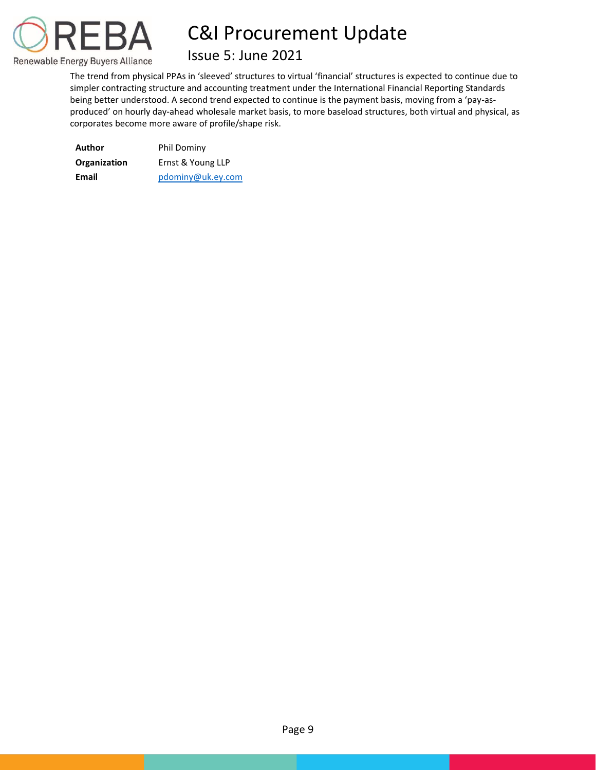

## Issue 5: June 2021

The trend from physical PPAs in 'sleeved' structures to virtual 'financial' structures is expected to continue due to simpler contracting structure and accounting treatment under the International Financial Reporting Standards being better understood. A second trend expected to continue is the payment basis, moving from a 'pay-asproduced' on hourly day-ahead wholesale market basis, to more baseload structures, both virtual and physical, as corporates become more aware of profile/shape risk.

| Author       | Phil Dominy       |  |  |  |
|--------------|-------------------|--|--|--|
| Organization | Ernst & Young LLP |  |  |  |
| Email        | pdominy@uk.ey.com |  |  |  |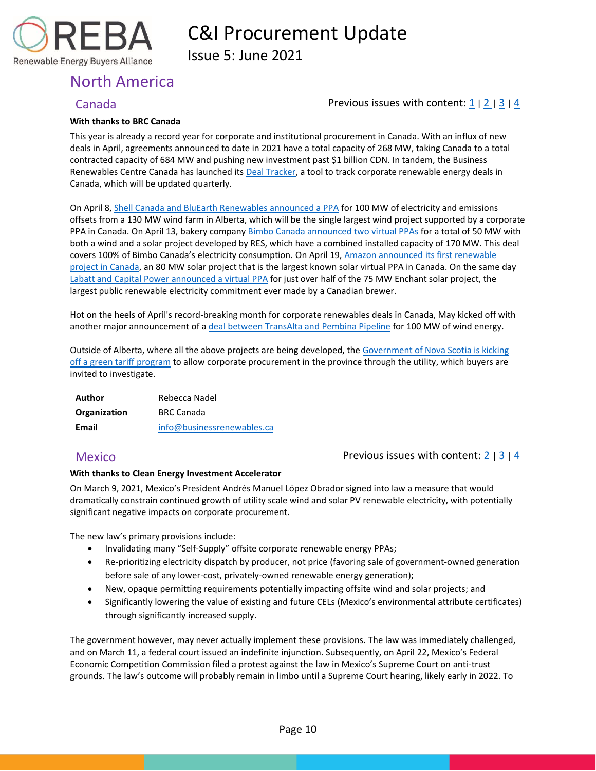

Issue 5: June 2021

## <span id="page-10-0"></span>North America

Renewable Energy Buyers Alliance

### <span id="page-10-1"></span>Canada Previous issues with content[: 1](https://reba2019dev.wpengine.com/wp-content/uploads/2020/02/REBA-CI-Procurement-Update_Feb-2020-1.pdf) <sup>|</sup>[2](https://rebuyers.org/wp-content/uploads/2020/07/C_I_Procurement_Update_Issue_2.pdf) <sup>|</sup>[3](https://documentcloud.adobe.com/link/track?uri=urn:aaid:scds:US:6601ed7a-4da4-4e40-8b34-921171ec412a#pageNum=1) <sup>|</sup>[4](https://rebuyers.org/wp-content/uploads/2021/03/REBA_C_I_Procurement_Update_02_21.pdf)

#### **With thanks to BRC Canada**

This year is already a record year for corporate and institutional procurement in Canada. With an influx of new deals in April, agreements announced to date in 2021 have a total capacity of 268 MW, taking Canada to a total contracted capacity of 684 MW and pushing new investment past \$1 billion CDN. In tandem, the Business Renewables Centre Canada has launched its [Deal Tracker,](https://businessrenewables.ca/deal-tracker) a tool to track corporate renewable energy deals in Canada, which will be updated quarterly.

On April 8[, Shell Canada and BluEarth Renewables announced a PPA](https://nam10.safelinks.protection.outlook.com/?url=https%3A%2F%2Fbluearthrenewables.com%2Fshell-ppa%2F&data=04%7C01%7Cpfeinberg%40rebuyers.org%7Ca1ae3b6014c74f6cb1e208d90a81e15a%7C85e98bb78ec64977a794ffb1ede0f3df%7C1%7C1%7C637552375233901799%7CUnknown%7CTWFpbGZsb3d8eyJWIjoiMC4wLjAwMDAiLCJQIjoiV2luMzIiLCJBTiI6Ik1haWwiLCJXVCI6Mn0%3D%7C2000&sdata=q8266unDGdr%2BzXIQIZcQFo%2Fc%2BemXZNkw7DeKQ41JaU0%3D&reserved=0) for 100 MW of electricity and emissions offsets from a 130 MW wind farm in Alberta, which will be the single largest wind project supported by a corporate PPA in Canada. On April 13, bakery company [Bimbo Canada announced two virtual PPAs](https://www.newswire.ca/news-releases/bimbo-canada-signs-agreements-to-offset-100-per-cent-of-its-electricity-consumption-for-canadian-operations-867561604.html) for a total of 50 MW with both a wind and a solar project developed by RES, which have a combined installed capacity of 170 MW. This deal covers 100% of Bimbo Canada's electricity consumption. On April 19, [Amazon announced its first renewable](https://nam10.safelinks.protection.outlook.com/?url=https%3A%2F%2Fwww.aboutamazon.com%2Fnews%2Fsustainability%2Famazon-is-making-big-global-investments-in-renewable-energy&data=04%7C01%7Cpfeinberg%40rebuyers.org%7Ca1ae3b6014c74f6cb1e208d90a81e15a%7C85e98bb78ec64977a794ffb1ede0f3df%7C1%7C1%7C637552375233921790%7CUnknown%7CTWFpbGZsb3d8eyJWIjoiMC4wLjAwMDAiLCJQIjoiV2luMzIiLCJBTiI6Ik1haWwiLCJXVCI6Mn0%3D%7C2000&sdata=ajQkRIbJtT%2FhzJlrlWCZ36KXetqmzUlrdJf7W0yKmOQ%3D&reserved=0)  [project in Canada,](https://nam10.safelinks.protection.outlook.com/?url=https%3A%2F%2Fwww.aboutamazon.com%2Fnews%2Fsustainability%2Famazon-is-making-big-global-investments-in-renewable-energy&data=04%7C01%7Cpfeinberg%40rebuyers.org%7Ca1ae3b6014c74f6cb1e208d90a81e15a%7C85e98bb78ec64977a794ffb1ede0f3df%7C1%7C1%7C637552375233921790%7CUnknown%7CTWFpbGZsb3d8eyJWIjoiMC4wLjAwMDAiLCJQIjoiV2luMzIiLCJBTiI6Ik1haWwiLCJXVCI6Mn0%3D%7C2000&sdata=ajQkRIbJtT%2FhzJlrlWCZ36KXetqmzUlrdJf7W0yKmOQ%3D&reserved=0) an 80 MW solar project that is the largest known solar virtual PPA in Canada. On the same day [Labatt and Capital Power announced a virtual PPA](https://nam10.safelinks.protection.outlook.com/?url=https%3A%2F%2Fwww.capitalpower.com%2Fmedia%2Fmedia_releases%2Flabatt-and-capital-power-announce-partnership-that-advances-budweisers-100-renewable-electricity-commitment%2F&data=04%7C01%7Cpfeinberg%40rebuyers.org%7Ca1ae3b6014c74f6cb1e208d90a81e15a%7C85e98bb78ec64977a794ffb1ede0f3df%7C1%7C1%7C637552375233931787%7CUnknown%7CTWFpbGZsb3d8eyJWIjoiMC4wLjAwMDAiLCJQIjoiV2luMzIiLCJBTiI6Ik1haWwiLCJXVCI6Mn0%3D%7C2000&sdata=c4JijCSRyhCzTyS2RF6EIuR4bdo%2FYFm9bjz9C3t9jFo%3D&reserved=0) for just over half of the 75 MW Enchant solar project, the largest public renewable electricity commitment ever made by a Canadian brewer.

Hot on the heels of April's record-breaking month for corporate renewables deals in Canada, May kicked off with another major announcement of [a deal between TransAlta and Pembina Pipeline](https://nam10.safelinks.protection.outlook.com/?url=https%3A%2F%2Fwww.transalta.com%2Fnewsroom%2Fnews-releases%2Ftransalta-and-pembina-pipeline-announce-100-mw-renewable-power-purchase-agreement-and-launch-of-the-garden-plain-wind-project%2F&data=04%7C01%7Cpfeinberg%40rebuyers.org%7C0a74dfac675c49a74b7c08d92b7f3508%7C85e98bb78ec64977a794ffb1ede0f3df%7C1%7C1%7C637588647637360499%7CUnknown%7CTWFpbGZsb3d8eyJWIjoiMC4wLjAwMDAiLCJQIjoiV2luMzIiLCJBTiI6Ik1haWwiLCJXVCI6Mn0%3D%7C1000&sdata=VogzpFnbd7MTxT62SfGRhXdTib%2BuA2Ws3r18hi2FkSI%3D&reserved=0) for 100 MW of wind energy.

Outside of Alberta, where all the above projects are being developed, the [Government of Nova Scotia is kicking](https://nam10.safelinks.protection.outlook.com/?url=https%3A%2F%2Fnovascotiagcp.com%2F&data=04%7C01%7Cpfeinberg%40rebuyers.org%7Ca1ae3b6014c74f6cb1e208d90a81e15a%7C85e98bb78ec64977a794ffb1ede0f3df%7C1%7C1%7C637552375233931787%7CUnknown%7CTWFpbGZsb3d8eyJWIjoiMC4wLjAwMDAiLCJQIjoiV2luMzIiLCJBTiI6Ik1haWwiLCJXVCI6Mn0%3D%7C2000&sdata=jEC%2FGhVP0IJiym30STjwzTOkoqZlfF%2BzKEhs%2BccRTbs%3D&reserved=0)  off a [green tariff program](https://nam10.safelinks.protection.outlook.com/?url=https%3A%2F%2Fnovascotiagcp.com%2F&data=04%7C01%7Cpfeinberg%40rebuyers.org%7Ca1ae3b6014c74f6cb1e208d90a81e15a%7C85e98bb78ec64977a794ffb1ede0f3df%7C1%7C1%7C637552375233931787%7CUnknown%7CTWFpbGZsb3d8eyJWIjoiMC4wLjAwMDAiLCJQIjoiV2luMzIiLCJBTiI6Ik1haWwiLCJXVCI6Mn0%3D%7C2000&sdata=jEC%2FGhVP0IJiym30STjwzTOkoqZlfF%2BzKEhs%2BccRTbs%3D&reserved=0) to allow corporate procurement in the province through the utility, which buyers are invited to investigate.

**Author** Rebecca Nadel **Organization** BRC Canada **Email** info@businessrenewables.ca

<span id="page-10-2"></span>Mexico **Previous issues with content[: 2](https://rebuyers.org/wp-content/uploads/2020/07/C_I_Procurement_Update_Issue_2.pdf) | [3](https://documentcloud.adobe.com/link/track?uri=urn:aaid:scds:US:6601ed7a-4da4-4e40-8b34-921171ec412a#pageNum=1) | [4](https://rebuyers.org/wp-content/uploads/2021/03/REBA_C_I_Procurement_Update_02_21.pdf)** 

#### **With thanks to Clean Energy Investment Accelerator**

On March 9, 2021, Mexico's President Andrés Manuel López Obrador signed into law a measure that would dramatically constrain continued growth of utility scale wind and solar PV renewable electricity, with potentially significant negative impacts on corporate procurement.

The new law's primary provisions include:

- Invalidating many "Self-Supply" offsite corporate renewable energy PPAs;
- Re-prioritizing electricity dispatch by producer, not price (favoring sale of government-owned generation before sale of any lower-cost, privately-owned renewable energy generation);
- New, opaque permitting requirements potentially impacting offsite wind and solar projects; and
- Significantly lowering the value of existing and future CELs (Mexico's environmental attribute certificates) through significantly increased supply.

The government however, may never actually implement these provisions. The law was immediately challenged, and on March 11, a federal court issued an indefinite injunction. Subsequently, on April 22, Mexico's Federal Economic Competition Commission filed a protest against the law in Mexico's Supreme Court on anti-trust grounds. The law's outcome will probably remain in limbo until a Supreme Court hearing, likely early in 2022. To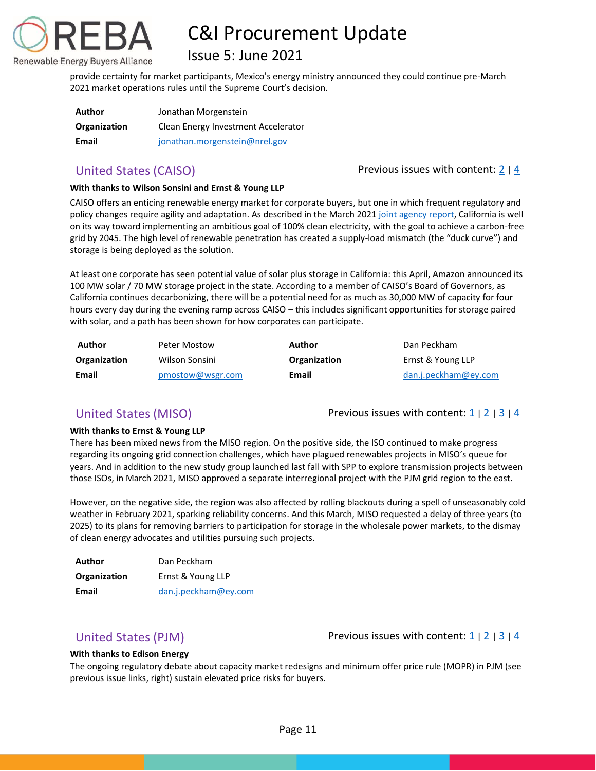## Issue 5: June 2021

provide certainty for market participants, Mexico's energy ministry announced they could continue pre-March 2021 market operations rules until the Supreme Court's decision.

| Author       | Jonathan Morgenstein                |
|--------------|-------------------------------------|
| Organization | Clean Energy Investment Accelerator |
| Email        | jonathan.morgenstein@nrel.gov       |

Renewable Energy Buyers Alliance

<span id="page-11-0"></span>United States (CAISO) **Previous issues with content:**  $\frac{2}{4}$  $\frac{2}{4}$  $\frac{2}{4}$ 

### **With thanks to Wilson Sonsini and Ernst & Young LLP**

CAISO offers an enticing renewable energy market for corporate buyers, but one in which frequent regulatory and policy changes require agility and adaptation. As described in the March 2021 [joint agency report,](https://www.energy.ca.gov/news/2021-03/california-releases-report-charting-path-100-percent-clean-electricity) California is well on its way toward implementing an ambitious goal of 100% clean electricity, with the goal to achieve a carbon-free grid by 2045. The high level of renewable penetration has created a supply-load mismatch (the "duck curve") and storage is being deployed as the solution.

At least one corporate has seen potential value of solar plus storage in California: this April, Amazon announced its 100 MW solar / 70 MW storage project in the state. According to a member of CAISO's Board of Governors, as California continues decarbonizing, there will be a potential need for as much as 30,000 MW of capacity for four hours every day during the evening ramp across CAISO – this includes significant opportunities for storage paired with solar, and a path has been shown for how corporates can participate.

| Author       | Peter Mostow     | Author       | Dan Peckham          |
|--------------|------------------|--------------|----------------------|
| Organization | Wilson Sonsini   | Organization | Ernst & Young LLP    |
| Email        | pmostow@wsgr.com | Email        | dan.j.peckham@ey.com |

<span id="page-11-1"></span>United States (MISO) Previous issues with content:  $\frac{1}{2}$  $\frac{1}{2}$  $\frac{1}{2}$  |  $\frac{3}{4}$  $\frac{3}{4}$  $\frac{3}{4}$  $\frac{3}{4}$  $\frac{3}{4}$ 

### **With thanks to Ernst & Young LLP**

There has been mixed news from the MISO region. On the positive side, the ISO continued to make progress regarding its ongoing grid connection challenges, which have plagued renewables projects in MISO's queue for years. And in addition to the new study group launched last fall with SPP to explore transmission projects between those ISOs, in March 2021, MISO approved a separate interregional project with the PJM grid region to the east.

However, on the negative side, the region was also affected by rolling blackouts during a spell of unseasonably cold weather in February 2021, sparking reliability concerns. And this March, MISO requested a delay of three years (to 2025) to its plans for removing barriers to participation for storage in the wholesale power markets, to the dismay of clean energy advocates and utilities pursuing such projects.

| Author       | Dan Peckham          |  |  |  |
|--------------|----------------------|--|--|--|
| Organization | Ernst & Young LLP    |  |  |  |
| Email        | dan.j.peckham@ey.com |  |  |  |

<span id="page-11-2"></span>United States (PJM) Previous issues with content:  $\frac{1}{2}$  $\frac{1}{2}$  $\frac{1}{2}$  |  $\frac{3}{4}$  $\frac{3}{4}$  $\frac{3}{4}$  $\frac{3}{4}$  $\frac{3}{4}$ 

#### **With thanks to Edison Energy**

The ongoing regulatory debate about capacity market redesigns and minimum offer price rule (MOPR) in PJM (see previous issue links, right) sustain elevated price risks for buyers.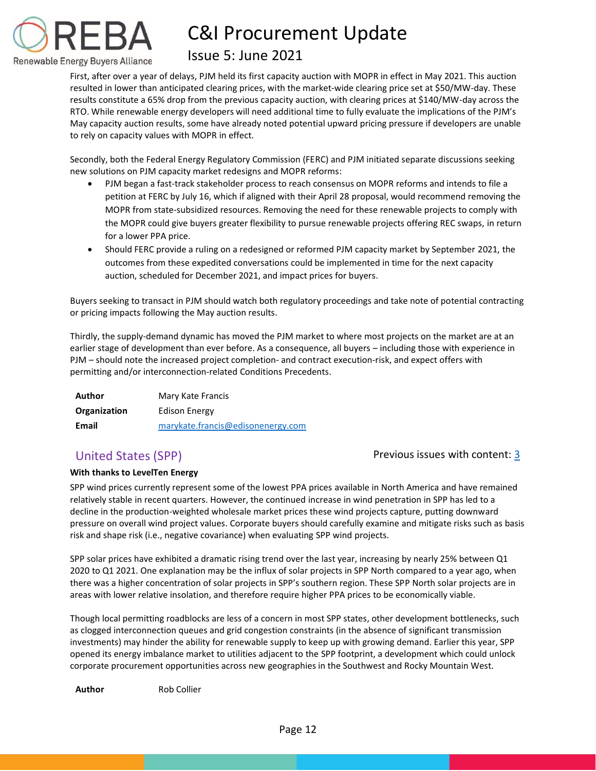

## Issue 5: June 2021

First, after over a year of delays, PJM held its first capacity auction with MOPR in effect in May 2021. This auction resulted in lower than anticipated clearing prices, with the market-wide clearing price set at \$50/MW-day. These results constitute a 65% drop from the previous capacity auction, with clearing prices at \$140/MW-day across the RTO. While renewable energy developers will need additional time to fully evaluate the implications of the PJM's May capacity auction results, some have already noted potential upward pricing pressure if developers are unable to rely on capacity values with MOPR in effect.

Secondly, both the Federal Energy Regulatory Commission (FERC) and PJM initiated separate discussions seeking new solutions on PJM capacity market redesigns and MOPR reforms:

- PJM began a fast-track stakeholder process to reach consensus on MOPR reforms and intends to file a petition at FERC by July 16, which if aligned with their April 28 proposal, would recommend removing the MOPR from state-subsidized resources. Removing the need for these renewable projects to comply with the MOPR could give buyers greater flexibility to pursue renewable projects offering REC swaps, in return for a lower PPA price.
- Should FERC provide a ruling on a redesigned or reformed PJM capacity market by September 2021, the outcomes from these expedited conversations could be implemented in time for the next capacity auction, scheduled for December 2021, and impact prices for buyers.

Buyers seeking to transact in PJM should watch both regulatory proceedings and take note of potential contracting or pricing impacts following the May auction results.

Thirdly, the supply-demand dynamic has moved the PJM market to where most projects on the market are at an earlier stage of development than ever before. As a consequence, all buyers – including those with experience in PJM – should note the increased project completion- and contract execution-risk, and expect offers with permitting and/or interconnection-related Conditions Precedents.

| Author       | Mary Kate Francis                 |
|--------------|-----------------------------------|
| Organization | Edison Energy                     |
| Email        | marykate.francis@edisonenergy.com |

### <span id="page-12-0"></span>United States (SPP) and the Content: [3](https://documentcloud.adobe.com/link/track?uri=urn:aaid:scds:US:6601ed7a-4da4-4e40-8b34-921171ec412a#pageNum=1) and 2 revious issues with content: 3

### **With thanks to LevelTen Energy**

SPP wind prices currently represent some of the lowest PPA prices available in North America and have remained relatively stable in recent quarters. However, the continued increase in wind penetration in SPP has led to a decline in the production-weighted wholesale market prices these wind projects capture, putting downward pressure on overall wind project values. Corporate buyers should carefully examine and mitigate risks such as basis risk and shape risk (i.e., negative covariance) when evaluating SPP wind projects.

SPP solar prices have exhibited a dramatic rising trend over the last year, increasing by nearly 25% between Q1 2020 to Q1 2021. One explanation may be the influx of solar projects in SPP North compared to a year ago, when there was a higher concentration of solar projects in SPP's southern region. These SPP North solar projects are in areas with lower relative insolation, and therefore require higher PPA prices to be economically viable.

Though local permitting roadblocks are less of a concern in most SPP states, other development bottlenecks, such as clogged interconnection queues and grid congestion constraints (in the absence of significant transmission investments) may hinder the ability for renewable supply to keep up with growing demand. Earlier this year, SPP opened its energy imbalance market to utilities adjacent to the SPP footprint, a development which could unlock corporate procurement opportunities across new geographies in the Southwest and Rocky Mountain West.

**Author** Rob Collier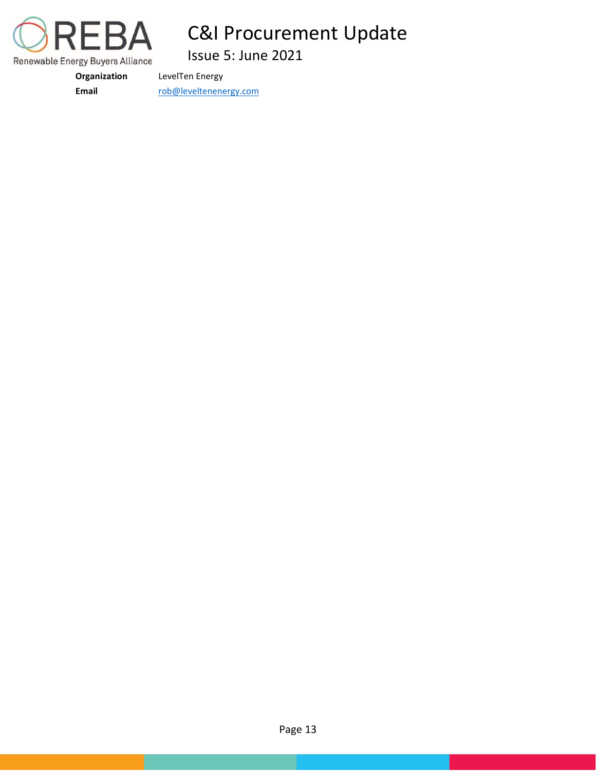

Issue 5: June 2021

**Organization** LevelTen Energy

Email [rob@leveltenenergy.com](mailto:rob@leveltenenergy.com)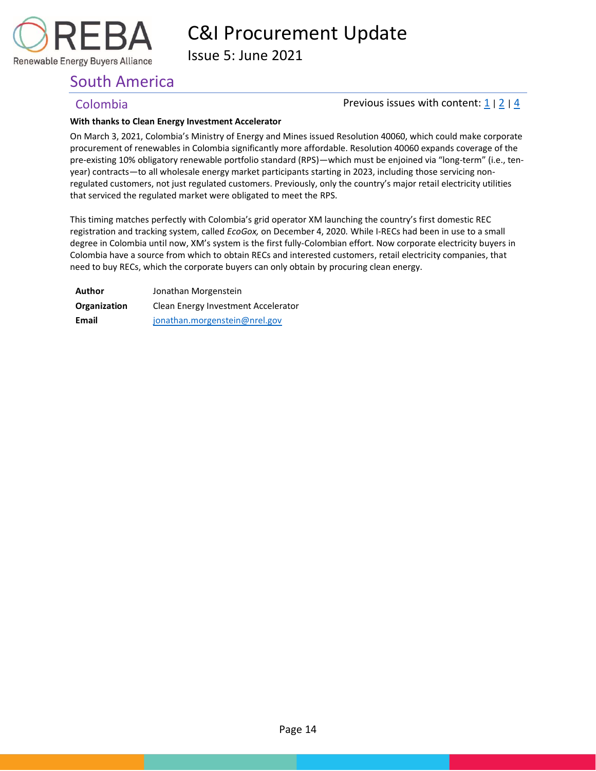

Issue 5: June 2021

## <span id="page-14-0"></span>South America

### <span id="page-14-1"></span>Colombia  $\blacksquare$  Previous issues with content:  $\frac{1}{2}$  $\frac{1}{2}$  $\frac{1}{2}$  |  $\frac{1}{4}$  $\frac{1}{4}$  $\frac{1}{4}$

#### **With thanks to Clean Energy Investment Accelerator**

On March 3, 2021, Colombia's Ministry of Energy and Mines issued Resolution 40060, which could make corporate procurement of renewables in Colombia significantly more affordable. Resolution 40060 expands coverage of the pre-existing 10% obligatory renewable portfolio standard (RPS)—which must be enjoined via "long-term" (i.e., tenyear) contracts—to all wholesale energy market participants starting in 2023, including those servicing nonregulated customers, not just regulated customers. Previously, only the country's major retail electricity utilities that serviced the regulated market were obligated to meet the RPS.

This timing matches perfectly with Colombia's grid operator XM launching the country's first domestic REC registration and tracking system, called *EcoGox,* on December 4, 2020. While I-RECs had been in use to a small degree in Colombia until now, XM's system is the first fully-Colombian effort. Now corporate electricity buyers in Colombia have a source from which to obtain RECs and interested customers, retail electricity companies, that need to buy RECs, which the corporate buyers can only obtain by procuring clean energy.

| Author       | Jonathan Morgenstein                |  |  |  |
|--------------|-------------------------------------|--|--|--|
| Organization | Clean Energy Investment Accelerator |  |  |  |
| Email        | jonathan.morgenstein@nrel.gov       |  |  |  |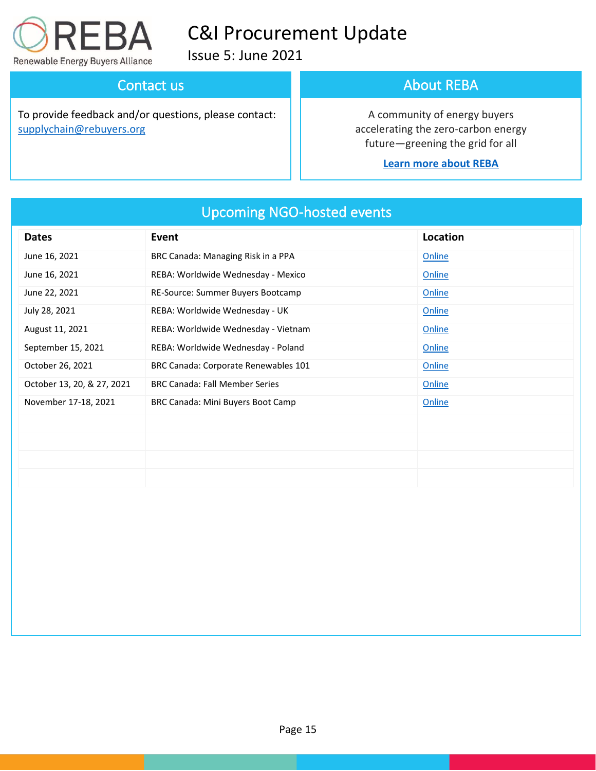

Issue 5: June 2021

## Contact us

To provide feedback and/or questions, please contact: [supplychain@rebuyers.org](mailto:supplychain@rebuyers.org)

## About REBA

A community of energy buyers accelerating the zero-carbon energy future—greening the grid for all

### **[Learn more about REBA](https://rebuyers.org/)**

| <b>Dates</b>               | Event                                 | Location |
|----------------------------|---------------------------------------|----------|
| June 16, 2021              | BRC Canada: Managing Risk in a PPA    | Online   |
| June 16, 2021              | REBA: Worldwide Wednesday - Mexico    | Online   |
| June 22, 2021              | RE-Source: Summer Buyers Bootcamp     | Online   |
| July 28, 2021              | REBA: Worldwide Wednesday - UK        | Online   |
| August 11, 2021            | REBA: Worldwide Wednesday - Vietnam   | Online   |
| September 15, 2021         | REBA: Worldwide Wednesday - Poland    | Online   |
| October 26, 2021           | BRC Canada: Corporate Renewables 101  | Online   |
| October 13, 20, & 27, 2021 | <b>BRC Canada: Fall Member Series</b> | Online   |
| November 17-18, 2021       | BRC Canada: Mini Buyers Boot Camp     | Online   |
|                            |                                       |          |
|                            |                                       |          |
|                            |                                       |          |
|                            |                                       |          |

## Upcoming NGO-hosted events